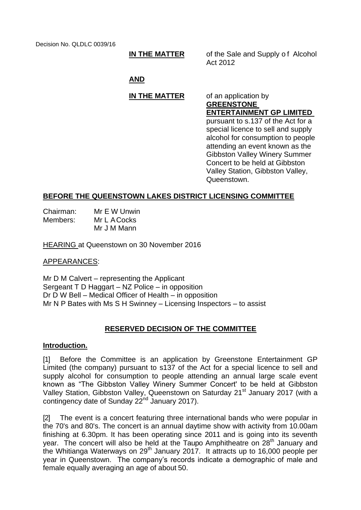Decision No. QLDLC 0039/16

**IN THE MATTER** of the Sale and Supply of Alcohol Act 2012

## **AND**

# **IN THE MATTER** of an application by

Queenstown.

**GREENSTONE ENTERTAINMENT GP LIMITED**  pursuant to s.137 of the Act for a special licence to sell and supply alcohol for consumption to people attending an event known as the Gibbston Valley Winery Summer Concert to be held at Gibbston Valley Station, Gibbston Valley,

## **BEFORE THE QUEENSTOWN LAKES DISTRICT LICENSING COMMITTEE**

| Chairman: | Mr E W Unwin |
|-----------|--------------|
| Members:  | Mr L A Cocks |
|           | Mr J M Mann  |

HEARING at Queenstown on 30 November 2016

### APPEARANCES:

Mr D M Calvert – representing the Applicant Sergeant T D Haggart – NZ Police – in opposition Dr D W Bell – Medical Officer of Health – in opposition Mr N P Bates with Ms S H Swinney – Licensing Inspectors – to assist

## **RESERVED DECISION OF THE COMMITTEE**

### **Introduction.**

[1] Before the Committee is an application by Greenstone Entertainment GP Limited (the company) pursuant to s137 of the Act for a special licence to sell and supply alcohol for consumption to people attending an annual large scale event known as "The Gibbston Valley Winery Summer Concert' to be held at Gibbston Valley Station, Gibbston Valley, Queenstown on Saturday 21<sup>st</sup> January 2017 (with a contingency date of Sunday 22<sup>nd</sup> January 2017).

[2] The event is a concert featuring three international bands who were popular in the 70's and 80's. The concert is an annual daytime show with activity from 10.00am finishing at 6.30pm. It has been operating since 2011 and is going into its seventh year. The concert will also be held at the Taupo Amphitheatre on 28<sup>th</sup> January and the Whitianga Waterways on 29<sup>th</sup> January 2017. It attracts up to 16,000 people per year in Queenstown. The company's records indicate a demographic of male and female equally averaging an age of about 50.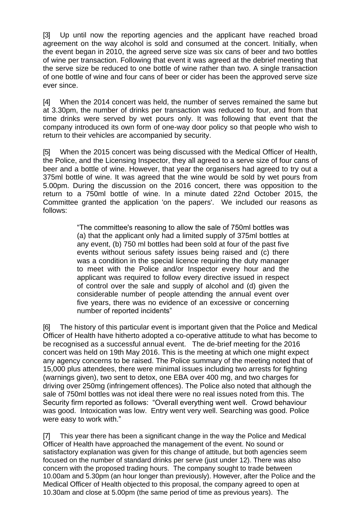[3] Up until now the reporting agencies and the applicant have reached broad agreement on the way alcohol is sold and consumed at the concert. Initially, when the event began in 2010, the agreed serve size was six cans of beer and two bottles of wine per transaction. Following that event it was agreed at the debrief meeting that the serve size be reduced to one bottle of wine rather than two. A single transaction of one bottle of wine and four cans of beer or cider has been the approved serve size ever since.

[4] When the 2014 concert was held, the number of serves remained the same but at 3.30pm, the number of drinks per transaction was reduced to four, and from that time drinks were served by wet pours only. It was following that event that the company introduced its own form of one-way door policy so that people who wish to return to their vehicles are accompanied by security.

[5] When the 2015 concert was being discussed with the Medical Officer of Health, the Police, and the Licensing Inspector, they all agreed to a serve size of four cans of beer and a bottle of wine. However, that year the organisers had agreed to try out a 375ml bottle of wine. It was agreed that the wine would be sold by wet pours from 5.00pm. During the discussion on the 2016 concert, there was opposition to the return to a 750ml bottle of wine. In a minute dated 22nd October 2015, the Committee granted the application 'on the papers'. We included our reasons as follows:

> "The committee's reasoning to allow the sale of 750ml bottles was (a) that the applicant only had a limited supply of 375ml bottles at any event, (b) 750 ml bottles had been sold at four of the past five events without serious safety issues being raised and (c) there was a condition in the special licence requiring the duty manager to meet with the Police and/or Inspector every hour and the applicant was required to follow every directive issued in respect of control over the sale and supply of alcohol and (d) given the considerable number of people attending the annual event over five years, there was no evidence of an excessive or concerning number of reported incidents"

[6] The history of this particular event is important given that the Police and Medical Officer of Health have hitherto adopted a co-operative attitude to what has become to be recognised as a successful annual event. The de-brief meeting for the 2016 concert was held on 19th May 2016. This is the meeting at which one might expect any agency concerns to be raised. The Police summary of the meeting noted that of 15,000 plus attendees, there were minimal issues including two arrests for fighting (warnings given), two sent to detox, one EBA over 400 mg, and two charges for driving over 250mg (infringement offences). The Police also noted that although the sale of 750ml bottles was not ideal there were no real issues noted from this. The Security firm reported as follows: "Overall everything went well. Crowd behaviour was good. Intoxication was low. Entry went very well. Searching was good. Police were easy to work with."

[7] This year there has been a significant change in the way the Police and Medical Officer of Health have approached the management of the event. No sound or satisfactory explanation was given for this change of attitude, but both agencies seem focused on the number of standard drinks per serve (just under 12). There was also concern with the proposed trading hours. The company sought to trade between 10.00am and 5.30pm (an hour longer than previously). However, after the Police and the Medical Officer of Health objected to this proposal, the company agreed to open at 10.30am and close at 5.00pm (the same period of time as previous years). The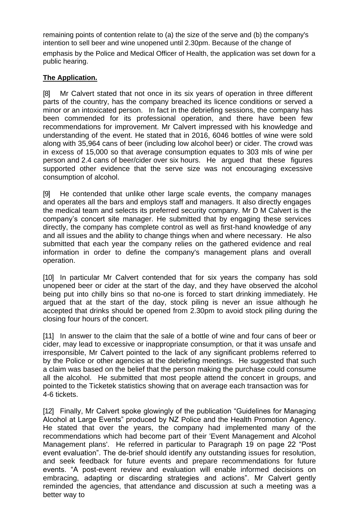remaining points of contention relate to (a) the size of the serve and (b) the company's intention to sell beer and wine unopened until 2.30pm. Because of the change of emphasis by the Police and Medical Officer of Health, the application was set down for a public hearing.

## **The Application.**

[8] Mr Calvert stated that not once in its six years of operation in three different parts of the country, has the company breached its licence conditions or served a minor or an intoxicated person. In fact in the debriefing sessions, the company has been commended for its professional operation, and there have been few recommendations for improvement. Mr Calvert impressed with his knowledge and understanding of the event. He stated that in 2016, 6046 bottles of wine were sold along with 35,964 cans of beer (including low alcohol beer) or cider. The crowd was in excess of 15,000 so that average consumption equates to 303 mls of wine per person and 2.4 cans of beer/cider over six hours. He argued that these figures supported other evidence that the serve size was not encouraging excessive consumption of alcohol.

[9] He contended that unlike other large scale events, the company manages and operates all the bars and employs staff and managers. It also directly engages the medical team and selects its preferred security company. Mr D M Calvert is the company's concert site manager. He submitted that by engaging these services directly, the company has complete control as well as first-hand knowledge of any and all issues and the ability to change things when and where necessary. He also submitted that each year the company relies on the gathered evidence and real information in order to define the company's management plans and overall operation.

[10] In particular Mr Calvert contended that for six years the company has sold unopened beer or cider at the start of the day, and they have observed the alcohol being put into chilly bins so that no-one is forced to start drinking immediately. He argued that at the start of the day, stock piling is never an issue although he accepted that drinks should be opened from 2.30pm to avoid stock piling during the closing four hours of the concert.

[11] In answer to the claim that the sale of a bottle of wine and four cans of beer or cider, may lead to excessive or inappropriate consumption, or that it was unsafe and irresponsible, Mr Calvert pointed to the lack of any significant problems referred to by the Police or other agencies at the debriefing meetings. He suggested that such a claim was based on the belief that the person making the purchase could consume all the alcohol. He submitted that most people attend the concert in groups, and pointed to the Ticketek statistics showing that on average each transaction was for 4-6 tickets.

[12] Finally, Mr Calvert spoke glowingly of the publication "Guidelines for Managing Alcohol at Large Events" produced by NZ Police and the Health Promotion Agency. He stated that over the years, the company had implemented many of the recommendations which had become part of their 'Event Management and Alcohol Management plans'. He referred in particular to Paragraph 19 on page 22 "Post event evaluation". The de-brief should identify any outstanding issues for resolution, and seek feedback for future events and prepare recommendations for future events. "A post-event review and evaluation will enable informed decisions on embracing, adapting or discarding strategies and actions". Mr Calvert gently reminded the agencies, that attendance and discussion at such a meeting was a better way to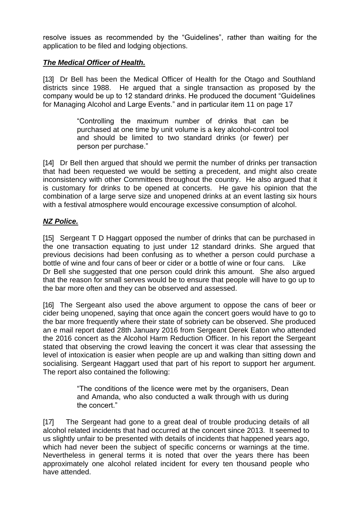resolve issues as recommended by the "Guidelines", rather than waiting for the application to be filed and lodging objections.

## *The Medical Officer of Health.*

[13] Dr Bell has been the Medical Officer of Health for the Otago and Southland districts since 1988. He argued that a single transaction as proposed by the company would be up to 12 standard drinks. He produced the document "Guidelines for Managing Alcohol and Large Events." and in particular item 11 on page 17

> "Controlling the maximum number of drinks that can be purchased at one time by unit volume is a key alcohol-control tool and should be limited to two standard drinks (or fewer) per person per purchase."

[14] Dr Bell then argued that should we permit the number of drinks per transaction that had been requested we would be setting a precedent, and might also create inconsistency with other Committees throughout the country. He also argued that it is customary for drinks to be opened at concerts. He gave his opinion that the combination of a large serve size and unopened drinks at an event lasting six hours with a festival atmosphere would encourage excessive consumption of alcohol.

## *NZ Police.*

[15] Sergeant T D Haggart opposed the number of drinks that can be purchased in the one transaction equating to just under 12 standard drinks. She argued that previous decisions had been confusing as to whether a person could purchase a bottle of wine and four cans of beer or cider or a bottle of wine or four cans. Like Dr Bell she suggested that one person could drink this amount. She also argued that the reason for small serves would be to ensure that people will have to go up to the bar more often and they can be observed and assessed.

[16] The Sergeant also used the above argument to oppose the cans of beer or cider being unopened, saying that once again the concert goers would have to go to the bar more frequently where their state of sobriety can be observed. She produced an e mail report dated 28th January 2016 from Sergeant Derek Eaton who attended the 2016 concert as the Alcohol Harm Reduction Officer. In his report the Sergeant stated that observing the crowd leaving the concert it was clear that assessing the level of intoxication is easier when people are up and walking than sitting down and socialising. Sergeant Haggart used that part of his report to support her argument. The report also contained the following:

> "The conditions of the licence were met by the organisers, Dean and Amanda, who also conducted a walk through with us during the concert."

[17] The Sergeant had gone to a great deal of trouble producing details of all alcohol related incidents that had occurred at the concert since 2013. It seemed to us slightly unfair to be presented with details of incidents that happened years ago, which had never been the subject of specific concerns or warnings at the time. Nevertheless in general terms it is noted that over the years there has been approximately one alcohol related incident for every ten thousand people who have attended.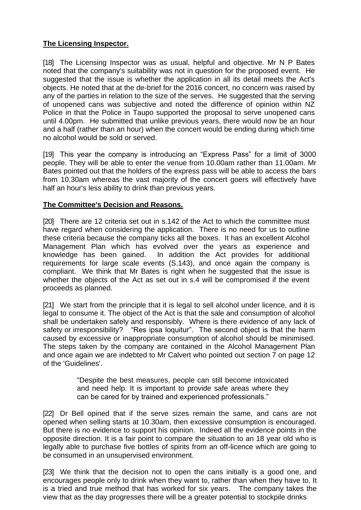## **The Licensing Inspector.**

[18] The Licensing Inspector was as usual, helpful and objective. Mr N P Bates noted that the company's suitability was not in question for the proposed event. He suggested that the issue is whether the application in all its detail meets the Act's objects. He noted that at the de-brief for the 2016 concert, no concern was raised by any of the parties in relation to the size of the serves. He suggested that the serving of unopened cans was subjective and noted the difference of opinion within NZ Police in that the Police in Taupo supported the proposal to serve unopened cans until 4.00pm. He submitted that unlike previous years, there would now be an hour and a half (rather than an hour) when the concert would be ending during which time no alcohol would be sold or served.

[19] This year the company is introducing an "Express Pass" for a limit of 3000 people. They will be able to enter the venue from 10.00am rather than 11.00am. Mr Bates pointed out that the holders of the express pass will be able to access the bars from 10.30am whereas the vast majority of the concert goers will effectively have half an hour's less ability to drink than previous years.

## **The Committee's Decision and Reasons.**

[20] There are 12 criteria set out in s.142 of the Act to which the committee must have regard when considering the application. There is no need for us to outline these criteria because the company ticks all the boxes. It has an excellent Alcohol Management Plan which has evolved over the years as experience and knowledge has been gained. In addition the Act provides for additional requirements for large scale events (S.143), and once again the company is compliant. We think that Mr Bates is right when he suggested that the issue is whether the objects of the Act as set out in s.4 will be compromised if the event proceeds as planned.

[21] We start from the principle that it is legal to sell alcohol under licence, and it is legal to consume it. The object of the Act is that the sale and consumption of alcohol shall be undertaken safely and responsibly. Where is there evidence of any lack of safety or irresponsibility? "Res ipsa loquitur". The second object is that the harm caused by excessive or inappropriate consumption of alcohol should be minimised. The steps taken by the company are contained in the Alcohol Management Plan and once again we are indebted to Mr Calvert who pointed out section 7 on page 12 of the 'Guidelines'.

> "Despite the best measures, people can still become intoxicated and need help. It is important to provide safe areas where they can be cared for by trained and experienced professionals."

[22] Dr Bell opined that if the serve sizes remain the same, and cans are not opened when selling starts at 10.30am, then excessive consumption is encouraged. But there is no evidence to support his opinion. Indeed all the evidence points in the opposite direction. It is a fair point to compare the situation to an 18 year old who is legally able to purchase five bottles of spirits from an off-licence which are going to be consumed in an unsupervised environment.

[23] We think that the decision not to open the cans initially is a good one, and encourages people only to drink when they want to, rather than when they have to. It is a tried and true method that has worked for six years. The company takes the view that as the day progresses there will be a greater potential to stockpile drinks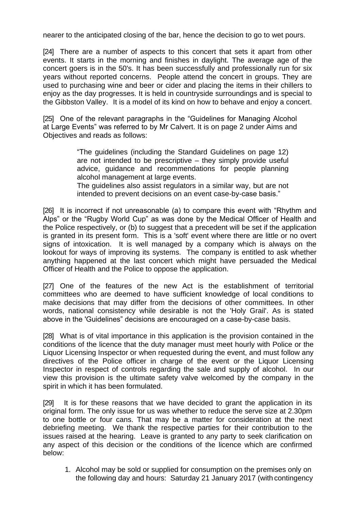nearer to the anticipated closing of the bar, hence the decision to go to wet pours.

[24] There are a number of aspects to this concert that sets it apart from other events. It starts in the morning and finishes in daylight. The average age of the concert goers is in the 50's. It has been successfully and professionally run for six years without reported concerns. People attend the concert in groups. They are used to purchasing wine and beer or cider and placing the items in their chillers to enjoy as the day progresses. It is held in countryside surroundings and is special to the Gibbston Valley. It is a model of its kind on how to behave and enjoy a concert.

[25] One of the relevant paragraphs in the "Guidelines for Managing Alcohol at Large Events" was referred to by Mr Calvert. It is on page 2 under Aims and Objectives and reads as follows:

> "The guidelines (including the Standard Guidelines on page 12) are not intended to be prescriptive – they simply provide useful advice, guidance and recommendations for people planning alcohol management at large events.

> The guidelines also assist regulators in a similar way, but are not intended to prevent decisions on an event case-by-case basis."

[26] It is incorrect if not unreasonable (a) to compare this event with "Rhythm and Alps" or the "Rugby World Cup" as was done by the Medical Officer of Health and the Police respectively, or (b) to suggest that a precedent will be set if the application is granted in its present form. This is a 'soft' event where there are little or no overt signs of intoxication. It is well managed by a company which is always on the lookout for ways of improving its systems. The company is entitled to ask whether anything happened at the last concert which might have persuaded the Medical Officer of Health and the Police to oppose the application.

[27] One of the features of the new Act is the establishment of territorial committees who are deemed to have sufficient knowledge of local conditions to make decisions that may differ from the decisions of other committees. In other words, national consistency while desirable is not the 'Holy Grail'. As is stated above in the 'Guidelines" decisions are encouraged on a case-by-case basis.

[28] What is of vital importance in this application is the provision contained in the conditions of the licence that the duty manager must meet hourly with Police or the Liquor Licensing Inspector or when requested during the event, and must follow any directives of the Police officer in charge of the event or the Liquor Licensing Inspector in respect of controls regarding the sale and supply of alcohol. In our view this provision is the ultimate safety valve welcomed by the company in the spirit in which it has been formulated.

[29] It is for these reasons that we have decided to grant the application in its original form. The only issue for us was whether to reduce the serve size at 2.30pm to one bottle or four cans. That may be a matter for consideration at the next debriefing meeting. We thank the respective parties for their contribution to the issues raised at the hearing. Leave is granted to any party to seek clarification on any aspect of this decision or the conditions of the licence which are confirmed below:

1. Alcohol may be sold or supplied for consumption on the premises only on the following day and hours: Saturday 21 January 2017 (with contingency